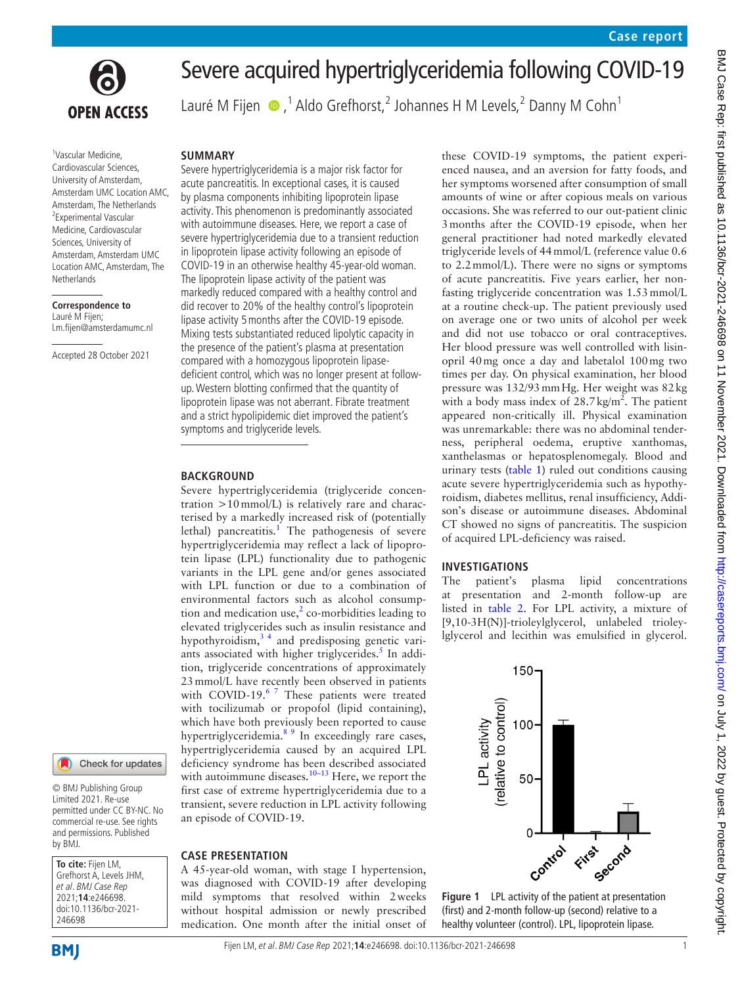

# Severe acquired hypertriglyceridemia following COVID-19

Lauré M Fijen  $\bigcirc$ ,<sup>1</sup> Aldo Grefhorst,<sup>2</sup> Johannes H M Levels,<sup>2</sup> Danny M Cohn<sup>1</sup>

### 1 Vascular Medicine, Cardiovascular Sciences, University of Amsterdam, Amsterdam UMC Location AMC, Amsterdam, The Netherlands 2 Experimental Vascular Medicine, Cardiovascular Sciences, University of Amsterdam, Amsterdam UMC Location AMC, Amsterdam, The Netherlands

**Correspondence to** Lauré M Fijen; l.m.fijen@amsterdamumc.nl

Accepted 28 October 2021

# Check for updates

© BMJ Publishing Group Limited 2021. Re-use permitted under CC BY-NC. No commercial re-use. See rights and permissions. Published by BMJ.

**To cite:** Fijen LM, Grefhorst A, Levels JHM, et al. BMJ Case Rep 2021;**14**:e246698. doi:10.1136/bcr-2021- 246698

**BMJ** 

## **SUMMARY**

Severe hypertriglyceridemia is a major risk factor for acute pancreatitis. In exceptional cases, it is caused by plasma components inhibiting lipoprotein lipase activity. This phenomenon is predominantly associated with autoimmune diseases. Here, we report a case of severe hypertriglyceridemia due to a transient reduction in lipoprotein lipase activity following an episode of COVID-19 in an otherwise healthy 45-year-old woman. The lipoprotein lipase activity of the patient was markedly reduced compared with a healthy control and did recover to 20% of the healthy control's lipoprotein lipase activity 5months after the COVID-19 episode. Mixing tests substantiated reduced lipolytic capacity in the presence of the patient's plasma at presentation compared with a homozygous lipoprotein lipasedeficient control, which was no longer present at followup. Western blotting confirmed that the quantity of lipoprotein lipase was not aberrant. Fibrate treatment and a strict hypolipidemic diet improved the patient's symptoms and triglyceride levels.

## **BACKGROUND**

Severe hypertriglyceridemia (triglyceride concentration >10mmol/L) is relatively rare and characterised by a markedly increased risk of (potentially lethal) pancreatitis.<sup>1</sup> The pathogenesis of severe hypertriglyceridemia may reflect a lack of lipoprotein lipase (LPL) functionality due to pathogenic variants in the LPL gene and/or genes associated with LPL function or due to a combination of environmental factors such as alcohol consumption and medication use, $2$  co-morbidities leading to elevated triglycerides such as insulin resistance and hypothyroidism, $3<sup>4</sup>$  and predisposing genetic variants associated with higher triglycerides. $5$  In addition, triglyceride concentrations of approximately 23mmol/L have recently been observed in patients with COVID-19.<sup>[6 7](#page-3-4)</sup> These patients were treated with tocilizumab or propofol (lipid containing), which have both previously been reported to cause hypertriglyceridemia.<sup>89</sup> In exceedingly rare cases, hypertriglyceridemia caused by an acquired LPL deficiency syndrome has been described associated with autoimmune diseases.<sup>10-13</sup> Here, we report the first case of extreme hypertriglyceridemia due to a transient, severe reduction in LPL activity following an episode of COVID-19.

## **CASE PRESENTATION**

A 45-year-old woman, with stage I hypertension, was diagnosed with COVID-19 after developing mild symptoms that resolved within 2weeks without hospital admission or newly prescribed medication. One month after the initial onset of these COVID-19 symptoms, the patient experienced nausea, and an aversion for fatty foods, and her symptoms worsened after consumption of small amounts of wine or after copious meals on various occasions. She was referred to our out-patient clinic 3months after the COVID-19 episode, when her general practitioner had noted markedly elevated triglyceride levels of 44mmol/L (reference value 0.6 to 2.2mmol/L). There were no signs or symptoms of acute pancreatitis. Five years earlier, her nonfasting triglyceride concentration was 1.53mmol/L at a routine check-up. The patient previously used on average one or two units of alcohol per week and did not use tobacco or oral contraceptives. Her blood pressure was well controlled with lisinopril 40mg once a day and labetalol 100mg two times per day. On physical examination, her blood pressure was 132/93mmHg. Her weight was 82kg with a body mass index of  $28.7 \text{ kg/m}^2$ . The patient appeared non-critically ill. Physical examination was unremarkable: there was no abdominal tenderness, peripheral oedema, eruptive xanthomas, xanthelasmas or hepatosplenomegaly. Blood and urinary tests ([table](#page-1-0) 1) ruled out conditions causing acute severe hypertriglyceridemia such as hypothyroidism, diabetes mellitus, renal insufficiency, Addison's disease or autoimmune diseases. Abdominal CT showed no signs of pancreatitis. The suspicion of acquired LPL-deficiency was raised.

## **INVESTIGATIONS**

The patient's plasma lipid concentrations at presentation and 2-month follow-up are listed in [table](#page-1-1) 2. For LPL activity, a mixture of [9,10-3H(N)]-trioleylglycerol, unlabeled trioleylglycerol and lecithin was emulsified in glycerol.



<span id="page-0-0"></span>**Figure 1** LPL activity of the patient at presentation (first) and 2-month follow-up (second) relative to a healthy volunteer (control). LPL, lipoprotein lipase.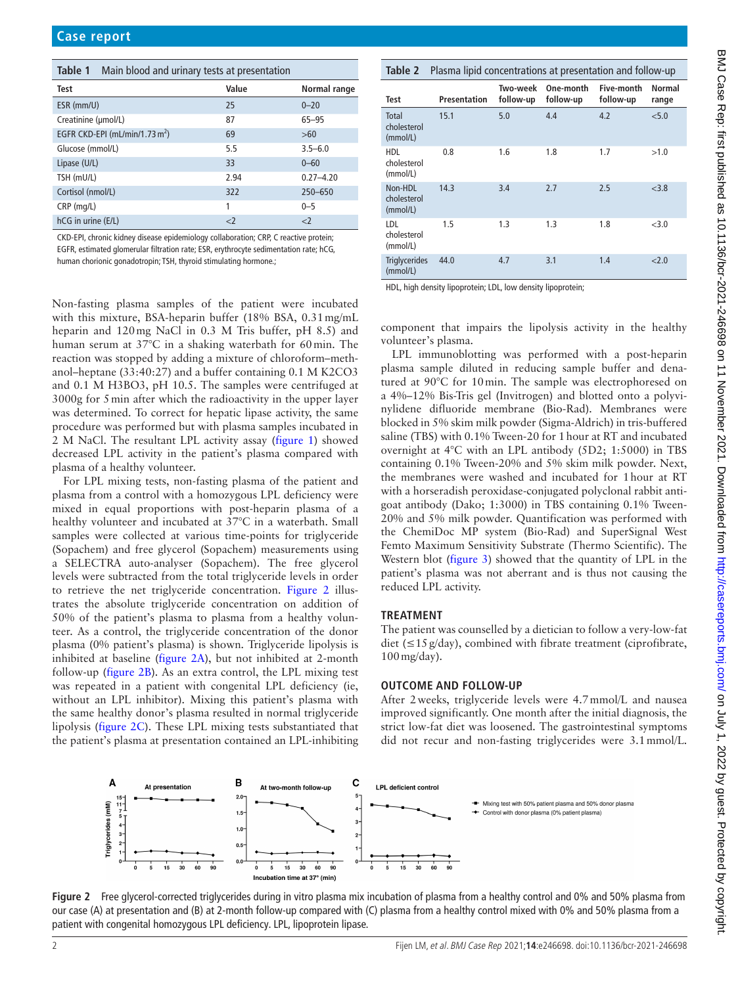<span id="page-1-0"></span>

| <b>Table 1</b> Main blood and urinary tests at presentation |       |               |
|-------------------------------------------------------------|-------|---------------|
| Test                                                        | Value | Normal range  |
| ESR (mm/U)                                                  | 25    | $0 - 20$      |
| Creatinine (µmol/L)                                         | 87    | $65 - 95$     |
| EGFR CKD-EPI (mL/min/1.73 m <sup>2</sup> )                  | 69    | >60           |
| Glucose (mmol/L)                                            | 5.5   | $3.5 - 6.0$   |
| Lipase (U/L)                                                | 33    | $0 - 60$      |
| TSH (mU/L)                                                  | 2.94  | $0.27 - 4.20$ |
| Cortisol (nmol/L)                                           | 322   | 250-650       |
| $CRP$ (mg/L)                                                | 1     | $0 - 5$       |
| hCG in urine (E/L)                                          | $<$ 2 | $<$ 2         |

CKD-EPI, chronic kidney disease epidemiology collaboration; CRP, C reactive protein;

EGFR, estimated glomerular filtration rate; ESR, erythrocyte sedimentation rate; hCG,

human chorionic gonadotropin; TSH, thyroid stimulating hormone.;

Non-fasting plasma samples of the patient were incubated with this mixture, BSA-heparin buffer (18% BSA, 0.31mg/mL heparin and 120mg NaCl in 0.3 M Tris buffer, pH 8.5) and human serum at 37°C in a shaking waterbath for 60min. The reaction was stopped by adding a mixture of chloroform–methanol–heptane (33:40:27) and a buffer containing 0.1 M K2CO3 and 0.1 M H3BO3, pH 10.5. The samples were centrifuged at 3000g for 5min after which the radioactivity in the upper layer was determined. To correct for hepatic lipase activity, the same procedure was performed but with plasma samples incubated in 2 M NaCl. The resultant LPL activity assay ([figure](#page-0-0) 1) showed decreased LPL activity in the patient's plasma compared with plasma of a healthy volunteer.

For LPL mixing tests, non-fasting plasma of the patient and plasma from a control with a homozygous LPL deficiency were mixed in equal proportions with post-heparin plasma of a healthy volunteer and incubated at 37°C in a waterbath. Small samples were collected at various time-points for triglyceride (Sopachem) and free glycerol (Sopachem) measurements using a SELECTRA auto-analyser (Sopachem). The free glycerol levels were subtracted from the total triglyceride levels in order to retrieve the net triglyceride concentration. [Figure](#page-1-2) 2 illustrates the absolute triglyceride concentration on addition of 50% of the patient's plasma to plasma from a healthy volunteer. As a control, the triglyceride concentration of the donor plasma (0% patient's plasma) is shown. Triglyceride lipolysis is inhibited at baseline ([figure](#page-1-2) 2A), but not inhibited at 2-month follow-up ([figure](#page-1-2) 2B). As an extra control, the LPL mixing test was repeated in a patient with congenital LPL deficiency (ie, without an LPL inhibitor). Mixing this patient's plasma with the same healthy donor's plasma resulted in normal triglyceride lipolysis [\(figure](#page-1-2) 2C). These LPL mixing tests substantiated that the patient's plasma at presentation contained an LPL-inhibiting

#### <span id="page-1-1"></span>**Table 2** Plasma lipid concentrations at presentation and follow-up **Test Presentation Two-week follow-up One-month follow-up Five-month follow-up Normal range** Total cholesterol (mmol/L) 15.1 5.0 4.4 4.2 <5.0 HDL cholesterol  $(mmol/l)$ 0.8 1.6 1.8 1.7 >1.0 Non-HDL cholesterol (mmol/L) 14.3 3.4 2.7 2.5 <3.8 LDL cholesterol (mmol/L) 1.5 1.3 1.3 1.8 <3.0 **Triglycerides** (mmol/L) 44.0 4.7 3.1 1.4 <2.0

HDL, high density lipoprotein; LDL, low density lipoprotein;

component that impairs the lipolysis activity in the healthy volunteer's plasma.

LPL immunoblotting was performed with a post-heparin plasma sample diluted in reducing sample buffer and denatured at 90°C for 10min. The sample was electrophoresed on a 4%–12% Bis-Tris gel (Invitrogen) and blotted onto a polyvinylidene difluoride membrane (Bio-Rad). Membranes were blocked in 5% skim milk powder (Sigma-Aldrich) in tris-buffered saline (TBS) with 0.1% Tween-20 for 1hour at RT and incubated overnight at 4°C with an LPL antibody (5D2; 1:5000) in TBS containing 0.1% Tween-20% and 5% skim milk powder. Next, the membranes were washed and incubated for 1hour at RT with a horseradish peroxidase-conjugated polyclonal rabbit antigoat antibody (Dako; 1:3000) in TBS containing 0.1% Tween-20% and 5% milk powder. Quantification was performed with the ChemiDoc MP system (Bio-Rad) and SuperSignal West Femto Maximum Sensitivity Substrate (Thermo Scientific). The Western blot [\(figure](#page-2-0) 3) showed that the quantity of LPL in the patient's plasma was not aberrant and is thus not causing the reduced LPL activity.

## **TREATMENT**

The patient was counselled by a dietician to follow a very-low-fat diet (≤15g/day), combined with fibrate treatment (ciprofibrate, 100mg/day).

#### **OUTCOME AND FOLLOW-UP**

After 2weeks, triglyceride levels were 4.7mmol/L and nausea improved significantly. One month after the initial diagnosis, the strict low-fat diet was loosened. The gastrointestinal symptoms did not recur and non-fasting triglycerides were 3.1mmol/L.



<span id="page-1-2"></span>**Figure 2** Free glycerol-corrected triglycerides during in vitro plasma mix incubation of plasma from a healthy control and 0% and 50% plasma from our case (A) at presentation and (B) at 2-month follow-up compared with (C) plasma from a healthy control mixed with 0% and 50% plasma from a patient with congenital homozygous LPL deficiency. LPL, lipoprotein lipase.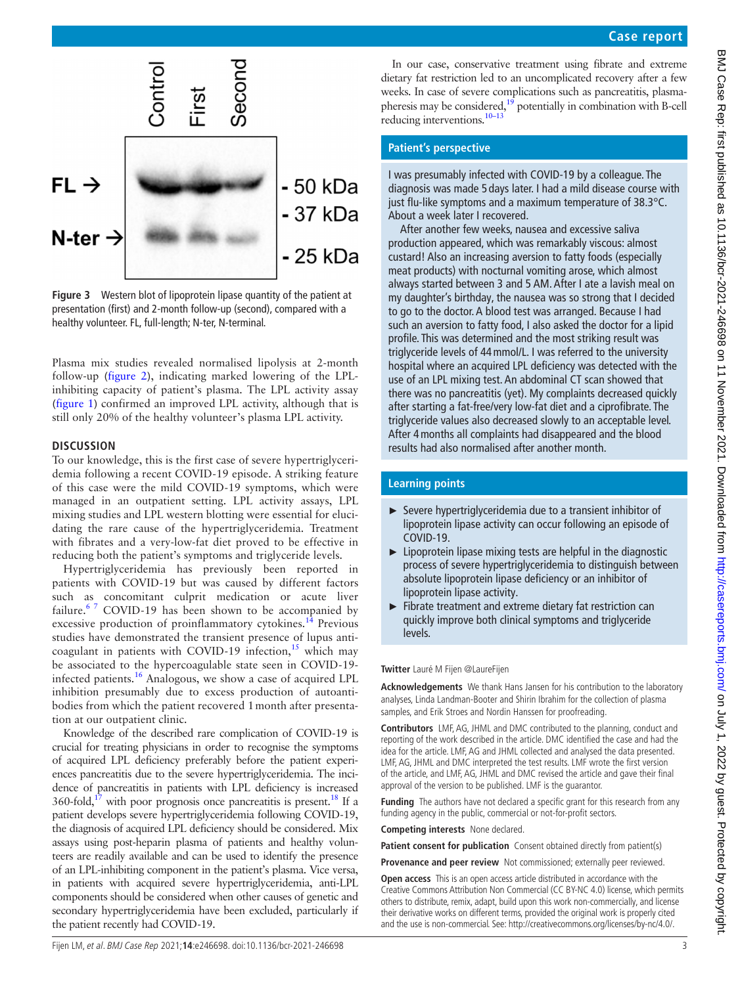

<span id="page-2-0"></span>**Figure 3** Western blot of lipoprotein lipase quantity of the patient at presentation (first) and 2-month follow-up (second), compared with a healthy volunteer. FL, full-length; N-ter, N-terminal.

Plasma mix studies revealed normalised lipolysis at 2-month follow-up ([figure](#page-1-2) 2), indicating marked lowering of the LPLinhibiting capacity of patient's plasma. The LPL activity assay ([figure](#page-0-0) 1) confirmed an improved LPL activity, although that is still only 20% of the healthy volunteer's plasma LPL activity.

## **DISCUSSION**

To our knowledge, this is the first case of severe hypertriglyceridemia following a recent COVID-19 episode. A striking feature of this case were the mild COVID-19 symptoms, which were managed in an outpatient setting. LPL activity assays, LPL mixing studies and LPL western blotting were essential for elucidating the rare cause of the hypertriglyceridemia. Treatment with fibrates and a very-low-fat diet proved to be effective in reducing both the patient's symptoms and triglyceride levels.

Hypertriglyceridemia has previously been reported in patients with COVID-19 but was caused by different factors such as concomitant culprit medication or acute liver failure.<sup>6 7</sup> COVID-19 has been shown to be accompanied by excessive production of proinflammatory cytokines.<sup>[14](#page-3-7)</sup> Previous studies have demonstrated the transient presence of lupus anticoagulant in patients with COVID-19 infection, $15$  which may be associated to the hypercoagulable state seen in COVID-19 infected patients.<sup>16</sup> Analogous, we show a case of acquired LPL inhibition presumably due to excess production of autoantibodies from which the patient recovered 1month after presentation at our outpatient clinic.

Knowledge of the described rare complication of COVID-19 is crucial for treating physicians in order to recognise the symptoms of acquired LPL deficiency preferably before the patient experiences pancreatitis due to the severe hypertriglyceridemia. The incidence of pancreatitis in patients with LPL deficiency is increased  $360$ -fold,<sup>17</sup> with poor prognosis once pancreatitis is present.<sup>18</sup> If a patient develops severe hypertriglyceridemia following COVID-19, the diagnosis of acquired LPL deficiency should be considered. Mix assays using post-heparin plasma of patients and healthy volunteers are readily available and can be used to identify the presence of an LPL-inhibiting component in the patient's plasma. Vice versa, in patients with acquired severe hypertriglyceridemia, anti-LPL components should be considered when other causes of genetic and secondary hypertriglyceridemia have been excluded, particularly if the patient recently had COVID-19.

In our case, conservative treatment using fibrate and extreme dietary fat restriction led to an uncomplicated recovery after a few weeks. In case of severe complications such as pancreatitis, plasmapheresis may be considered, $19$  potentially in combination with B-cell reducing interventions[.10–13](#page-3-6)

## **Patient's perspective**

I was presumably infected with COVID-19 by a colleague. The diagnosis was made 5 days later. I had a mild disease course with just flu-like symptoms and a maximum temperature of 38.3°C. About a week later I recovered.

After another few weeks, nausea and excessive saliva production appeared, which was remarkably viscous: almost custard! Also an increasing aversion to fatty foods (especially meat products) with nocturnal vomiting arose, which almost always started between 3 and 5 AM. After I ate a lavish meal on my daughter's birthday, the nausea was so strong that I decided to go to the doctor. A blood test was arranged. Because I had such an aversion to fatty food, I also asked the doctor for a lipid profile. This was determined and the most striking result was triglyceride levels of 44mmol/L. I was referred to the university hospital where an acquired LPL deficiency was detected with the use of an LPL mixing test. An abdominal CT scan showed that there was no pancreatitis (yet). My complaints decreased quickly after starting a fat-free/very low-fat diet and a ciprofibrate. The triglyceride values also decreased slowly to an acceptable level. After 4months all complaints had disappeared and the blood results had also normalised after another month.

## **Learning points**

- ► Severe hypertriglyceridemia due to a transient inhibitor of lipoprotein lipase activity can occur following an episode of COVID-19.
- $\blacktriangleright$  Lipoprotein lipase mixing tests are helpful in the diagnostic process of severe hypertriglyceridemia to distinguish between absolute lipoprotein lipase deficiency or an inhibitor of lipoprotein lipase activity.
- ► Fibrate treatment and extreme dietary fat restriction can quickly improve both clinical symptoms and triglyceride levels.

## **Twitter** Lauré M Fijen [@LaureFijen](https://twitter.com/LaureFijen)

**Acknowledgements** We thank Hans Jansen for his contribution to the laboratory analyses, Linda Landman-Booter and Shirin Ibrahim for the collection of plasma samples, and Erik Stroes and Nordin Hanssen for proofreading.

**Contributors** LMF, AG, JHML and DMC contributed to the planning, conduct and reporting of the work described in the article. DMC identified the case and had the idea for the article. LMF, AG and JHML collected and analysed the data presented. LMF, AG, JHML and DMC interpreted the test results. LMF wrote the first version of the article, and LMF, AG, JHML and DMC revised the article and gave their final approval of the version to be published. LMF is the guarantor.

**Funding** The authors have not declared a specific grant for this research from any funding agency in the public, commercial or not-for-profit sectors.

**Competing interests** None declared.

Patient consent for publication Consent obtained directly from patient(s)

**Provenance and peer review** Not commissioned; externally peer reviewed.

**Open access** This is an open access article distributed in accordance with the Creative Commons Attribution Non Commercial (CC BY-NC 4.0) license, which permits others to distribute, remix, adapt, build upon this work non-commercially, and license their derivative works on different terms, provided the original work is properly cited and the use is non-commercial. See:<http://creativecommons.org/licenses/by-nc/4.0/>.